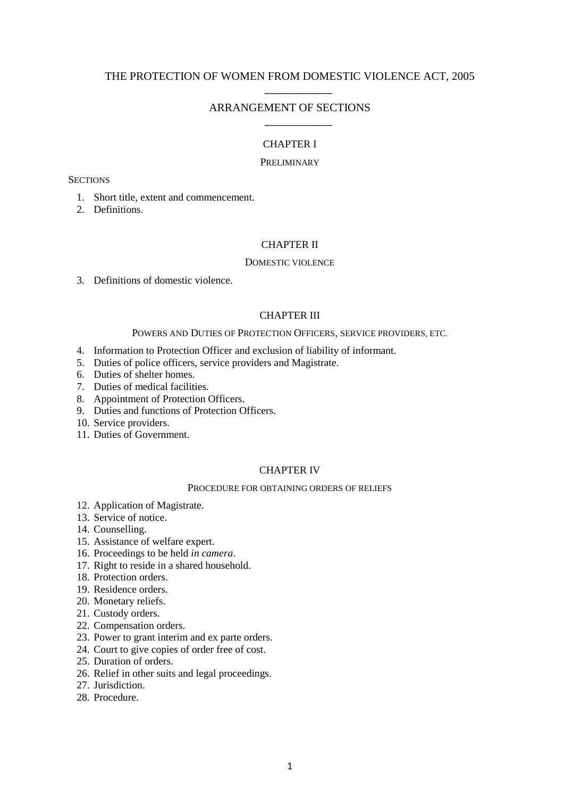# THE PROTECTION OF WOMEN FROM DOMESTIC VIOLENCE ACT, 2005

\_\_\_\_\_\_\_\_\_\_\_\_\_

\_\_\_\_\_\_\_\_\_\_\_\_\_

# ARRANGEMENT OF SECTIONS

# CHAPTER I

### PRELIMINARY

#### **SECTIONS**

- 1. Short title, extent and commencement.
- 2. Definitions.

# CHAPTER II

### DOMESTIC VIOLENCE

3. Definitions of domestic violence.

## CHAPTER III

### POWERS AND DUTIES OF PROTECTION OFFICERS, SERVICE PROVIDERS, ETC.

- 4. Information to Protection Officer and exclusion of liability of informant.
- 5. Duties of police officers, service providers and Magistrate.
- 6. Duties of shelter homes.
- 7. Duties of medical facilities.
- 8. Appointment of Protection Officers.
- 9. Duties and functions of Protection Officers.
- 10. Service providers.
- 11. Duties of Government.

## CHAPTER IV

### PROCEDURE FOR OBTAINING ORDERS OF RELIEFS

- 12. Application of Magistrate.
- 13. Service of notice.
- 14. Counselling.
- 15. Assistance of welfare expert.
- 16. Proceedings to be held *in camera*.
- 17. Right to reside in a shared household.
- 18. Protection orders
- 19. Residence orders.
- 20. Monetary reliefs.
- 21. Custody orders.
- 22. Compensation orders.
- 23. Power to grant interim and ex parte orders.
- 24. Court to give copies of order free of cost.
- 25. Duration of orders.
- 26. Relief in other suits and legal proceedings.
- 27. Jurisdiction.
- 28. Procedure.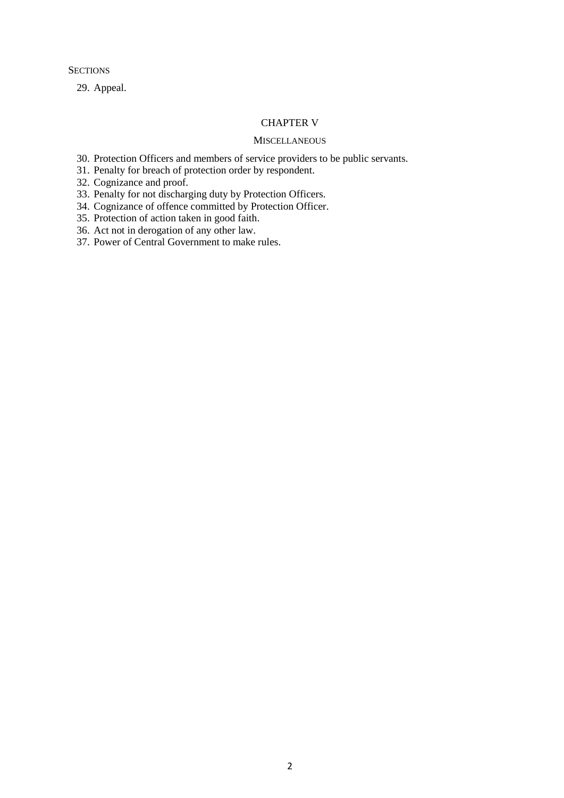**SECTIONS** 

29. Appeal.

# CHAPTER V

### **MISCELLANEOUS**

- 30. Protection Officers and members of service providers to be public servants.
- 31. Penalty for breach of protection order by respondent.
- 32. Cognizance and proof.
- 33. Penalty for not discharging duty by Protection Officers.
- 34. Cognizance of offence committed by Protection Officer.
- 35. Protection of action taken in good faith.
- 36. Act not in derogation of any other law.
- 37. Power of Central Government to make rules.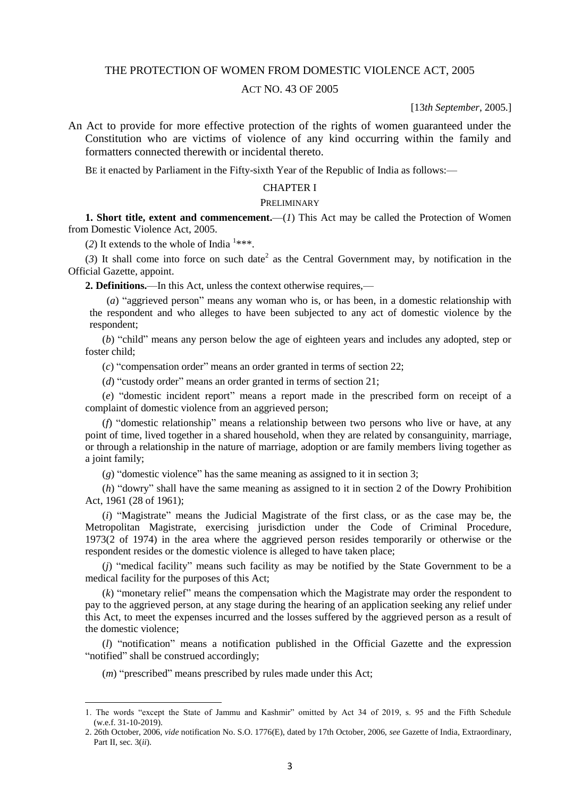# THE PROTECTION OF WOMEN FROM DOMESTIC VIOLENCE ACT, 2005

# ACT NO. 43 OF 2005

[13*th September*, 2005.]

An Act to provide for more effective protection of the rights of women guaranteed under the Constitution who are victims of violence of any kind occurring within the family and formatters connected therewith or incidental thereto.

BE it enacted by Parliament in the Fifty-sixth Year of the Republic of India as follows:—

# CHAPTER I

### PRELIMINARY

**1. Short title, extent and commencement.**—(*1*) This Act may be called the Protection of Women from Domestic Violence Act, 2005.

(2) It extends to the whole of India  $1***$ .

 $(3)$  It shall come into force on such date<sup>2</sup> as the Central Government may, by notification in the Official Gazette, appoint.

**2. Definitions.**—In this Act, unless the context otherwise requires,—

(*a*) "aggrieved person" means any woman who is, or has been, in a domestic relationship with the respondent and who alleges to have been subjected to any act of domestic violence by the respondent;

(*b*) "child" means any person below the age of eighteen years and includes any adopted, step or foster child;

(*c*) "compensation order" means an order granted in terms of section 22;

(*d*) "custody order" means an order granted in terms of section 21;

(*e*) "domestic incident report" means a report made in the prescribed form on receipt of a complaint of domestic violence from an aggrieved person;

(*f*) "domestic relationship" means a relationship between two persons who live or have, at any point of time, lived together in a shared household, when they are related by consanguinity, marriage, or through a relationship in the nature of marriage, adoption or are family members living together as a joint family;

(*g*) "domestic violence" has the same meaning as assigned to it in section 3;

(*h*) "dowry" shall have the same meaning as assigned to it in section 2 of the Dowry Prohibition Act, 1961 (28 of 1961);

(*i*) "Magistrate" means the Judicial Magistrate of the first class, or as the case may be, the Metropolitan Magistrate, exercising jurisdiction under the Code of Criminal Procedure, 1973(2 of 1974) in the area where the aggrieved person resides temporarily or otherwise or the respondent resides or the domestic violence is alleged to have taken place;

(*j*) "medical facility" means such facility as may be notified by the State Government to be a medical facility for the purposes of this Act;

(*k*) "monetary relief" means the compensation which the Magistrate may order the respondent to pay to the aggrieved person, at any stage during the hearing of an application seeking any relief under this Act, to meet the expenses incurred and the losses suffered by the aggrieved person as a result of the domestic violence;

(*l*) "notification" means a notification published in the Official Gazette and the expression "notified" shall be construed accordingly;

(*m*) "prescribed" means prescribed by rules made under this Act;

**.** 

<sup>1.</sup> The words "except the State of Jammu and Kashmir" omitted by Act 34 of 2019, s. 95 and the Fifth Schedule (w.e.f. 31-10-2019).

<sup>2. 26</sup>th October, 2006, *vide* notification No. S.O. 1776(E), dated by 17th October, 2006, *see* Gazette of India, Extraordinary, Part II, sec. 3(*ii*).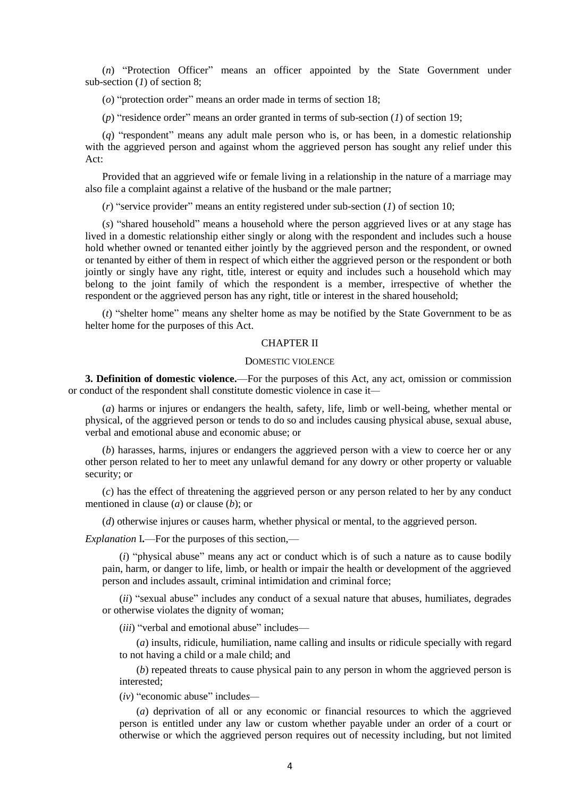(*n*) "Protection Officer" means an officer appointed by the State Government under sub-section (*1*) of section 8;

(*o*) "protection order" means an order made in terms of section 18;

(*p*) "residence order" means an order granted in terms of sub-section (*1*) of section 19;

(*q*) "respondent" means any adult male person who is, or has been, in a domestic relationship with the aggrieved person and against whom the aggrieved person has sought any relief under this Act:

Provided that an aggrieved wife or female living in a relationship in the nature of a marriage may also file a complaint against a relative of the husband or the male partner;

(*r*) "service provider" means an entity registered under sub-section (*1*) of section 10;

(*s*) "shared household" means a household where the person aggrieved lives or at any stage has lived in a domestic relationship either singly or along with the respondent and includes such a house hold whether owned or tenanted either jointly by the aggrieved person and the respondent, or owned or tenanted by either of them in respect of which either the aggrieved person or the respondent or both jointly or singly have any right, title, interest or equity and includes such a household which may belong to the joint family of which the respondent is a member, irrespective of whether the respondent or the aggrieved person has any right, title or interest in the shared household;

(*t*) "shelter home" means any shelter home as may be notified by the State Government to be as helter home for the purposes of this Act.

### CHAPTER II

#### DOMESTIC VIOLENCE

**3. Definition of domestic violence.**—For the purposes of this Act, any act, omission or commission or conduct of the respondent shall constitute domestic violence in case it*—*

(*a*) harms or injures or endangers the health, safety, life, limb or well-being, whether mental or physical, of the aggrieved person or tends to do so and includes causing physical abuse, sexual abuse, verbal and emotional abuse and economic abuse; or

(*b*) harasses, harms, injures or endangers the aggrieved person with a view to coerce her or any other person related to her to meet any unlawful demand for any dowry or other property or valuable security; or

(*c*) has the effect of threatening the aggrieved person or any person related to her by any conduct mentioned in clause (*a*) or clause (*b*); or

(*d*) otherwise injures or causes harm, whether physical or mental, to the aggrieved person.

*Explanation* I**.**—For the purposes of this section,—

(*i*) "physical abuse" means any act or conduct which is of such a nature as to cause bodily pain, harm, or danger to life, limb, or health or impair the health or development of the aggrieved person and includes assault, criminal intimidation and criminal force;

(*ii*) "sexual abuse" includes any conduct of a sexual nature that abuses, humiliates, degrades or otherwise violates the dignity of woman;

(*iii*) "verbal and emotional abuse" includes—

(*a*) insults, ridicule, humiliation, name calling and insults or ridicule specially with regard to not having a child or a male child; and

(*b*) repeated threats to cause physical pain to any person in whom the aggrieved person is interested;

(*iv*) "economic abuse" include*s—*

(*a*) deprivation of all or any economic or financial resources to which the aggrieved person is entitled under any law or custom whether payable under an order of a court or otherwise or which the aggrieved person requires out of necessity including, but not limited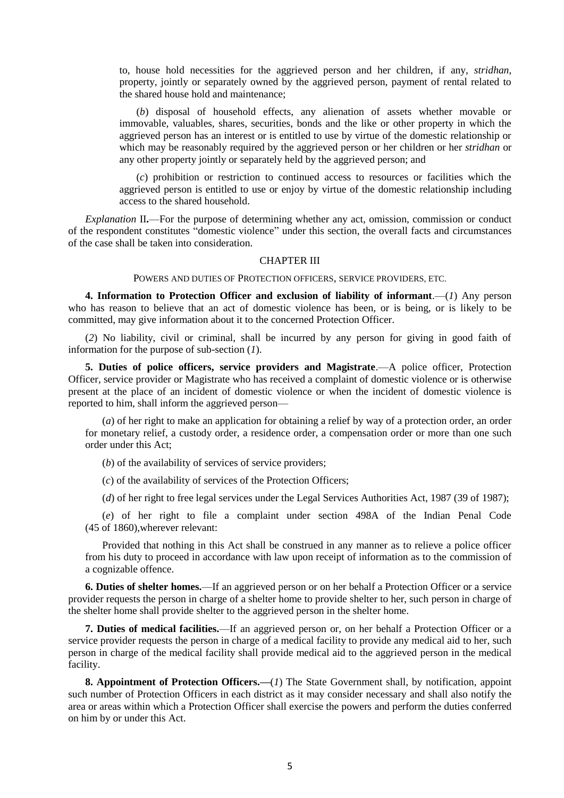to, house hold necessities for the aggrieved person and her children, if any, *stridhan*, property, jointly or separately owned by the aggrieved person, payment of rental related to the shared house hold and maintenance;

(*b*) disposal of household effects, any alienation of assets whether movable or immovable, valuables, shares, securities, bonds and the like or other property in which the aggrieved person has an interest or is entitled to use by virtue of the domestic relationship or which may be reasonably required by the aggrieved person or her children or her *stridhan* or any other property jointly or separately held by the aggrieved person; and

(*c*) prohibition or restriction to continued access to resources or facilities which the aggrieved person is entitled to use or enjoy by virtue of the domestic relationship including access to the shared household.

*Explanation* II**.**—For the purpose of determining whether any act, omission, commission or conduct of the respondent constitutes "domestic violence" under this section, the overall facts and circumstances of the case shall be taken into consideration.

#### CHAPTER III

#### POWERS AND DUTIES OF PROTECTION OFFICERS, SERVICE PROVIDERS, ETC.

**4. Information to Protection Officer and exclusion of liability of informant**.—(*1*) Any person who has reason to believe that an act of domestic violence has been, or is being, or is likely to be committed, may give information about it to the concerned Protection Officer.

(*2*) No liability, civil or criminal, shall be incurred by any person for giving in good faith of information for the purpose of sub-section (*1*).

**5. Duties of police officers, service providers and Magistrate**.—A police officer, Protection Officer, service provider or Magistrate who has received a complaint of domestic violence or is otherwise present at the place of an incident of domestic violence or when the incident of domestic violence is reported to him, shall inform the aggrieved person—

(*a*) of her right to make an application for obtaining a relief by way of a protection order, an order for monetary relief, a custody order, a residence order, a compensation order or more than one such order under this Act;

(*b*) of the availability of services of service providers;

(*c*) of the availability of services of the Protection Officers;

(*d*) of her right to free legal services under the Legal Services Authorities Act, 1987 (39 of 1987);

(*e*) of her right to file a complaint under section 498A of the Indian Penal Code (45 of 1860),wherever relevant:

Provided that nothing in this Act shall be construed in any manner as to relieve a police officer from his duty to proceed in accordance with law upon receipt of information as to the commission of a cognizable offence.

**6. Duties of shelter homes.**—If an aggrieved person or on her behalf a Protection Officer or a service provider requests the person in charge of a shelter home to provide shelter to her, such person in charge of the shelter home shall provide shelter to the aggrieved person in the shelter home.

**7. Duties of medical facilities.**—If an aggrieved person or, on her behalf a Protection Officer or a service provider requests the person in charge of a medical facility to provide any medical aid to her, such person in charge of the medical facility shall provide medical aid to the aggrieved person in the medical facility.

**8. Appointment of Protection Officers.—**(*1*) The State Government shall, by notification, appoint such number of Protection Officers in each district as it may consider necessary and shall also notify the area or areas within which a Protection Officer shall exercise the powers and perform the duties conferred on him by or under this Act.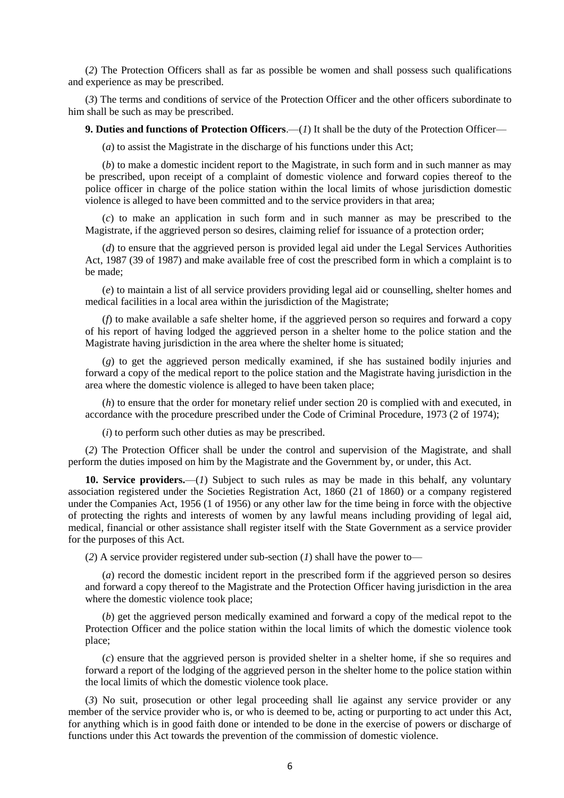(*2*) The Protection Officers shall as far as possible be women and shall possess such qualifications and experience as may be prescribed.

(*3*) The terms and conditions of service of the Protection Officer and the other officers subordinate to him shall be such as may be prescribed.

**9. Duties and functions of Protection Officers**.—(*1*) It shall be the duty of the Protection Officer—

(*a*) to assist the Magistrate in the discharge of his functions under this Act;

(*b*) to make a domestic incident report to the Magistrate, in such form and in such manner as may be prescribed, upon receipt of a complaint of domestic violence and forward copies thereof to the police officer in charge of the police station within the local limits of whose jurisdiction domestic violence is alleged to have been committed and to the service providers in that area;

(*c*) to make an application in such form and in such manner as may be prescribed to the Magistrate, if the aggrieved person so desires, claiming relief for issuance of a protection order;

(*d*) to ensure that the aggrieved person is provided legal aid under the Legal Services Authorities Act, 1987 (39 of 1987) and make available free of cost the prescribed form in which a complaint is to be made;

(*e*) to maintain a list of all service providers providing legal aid or counselling, shelter homes and medical facilities in a local area within the jurisdiction of the Magistrate;

(*f*) to make available a safe shelter home, if the aggrieved person so requires and forward a copy of his report of having lodged the aggrieved person in a shelter home to the police station and the Magistrate having jurisdiction in the area where the shelter home is situated;

(*g*) to get the aggrieved person medically examined, if she has sustained bodily injuries and forward a copy of the medical report to the police station and the Magistrate having jurisdiction in the area where the domestic violence is alleged to have been taken place;

(*h*) to ensure that the order for monetary relief under section 20 is complied with and executed, in accordance with the procedure prescribed under the Code of Criminal Procedure, 1973 (2 of 1974);

(*i*) to perform such other duties as may be prescribed.

(*2*) The Protection Officer shall be under the control and supervision of the Magistrate, and shall perform the duties imposed on him by the Magistrate and the Government by, or under, this Act.

**10. Service providers.**—(*1*) Subject to such rules as may be made in this behalf, any voluntary association registered under the Societies Registration Act, 1860 (21 of 1860) or a company registered under the Companies Act, 1956 (1 of 1956) or any other law for the time being in force with the objective of protecting the rights and interests of women by any lawful means including providing of legal aid, medical, financial or other assistance shall register itself with the State Government as a service provider for the purposes of this Act.

(*2*) A service provider registered under sub-section (*1*) shall have the power to—

(*a*) record the domestic incident report in the prescribed form if the aggrieved person so desires and forward a copy thereof to the Magistrate and the Protection Officer having jurisdiction in the area where the domestic violence took place;

(*b*) get the aggrieved person medically examined and forward a copy of the medical repot to the Protection Officer and the police station within the local limits of which the domestic violence took place;

(*c*) ensure that the aggrieved person is provided shelter in a shelter home, if she so requires and forward a report of the lodging of the aggrieved person in the shelter home to the police station within the local limits of which the domestic violence took place.

(*3*) No suit, prosecution or other legal proceeding shall lie against any service provider or any member of the service provider who is, or who is deemed to be, acting or purporting to act under this Act, for anything which is in good faith done or intended to be done in the exercise of powers or discharge of functions under this Act towards the prevention of the commission of domestic violence.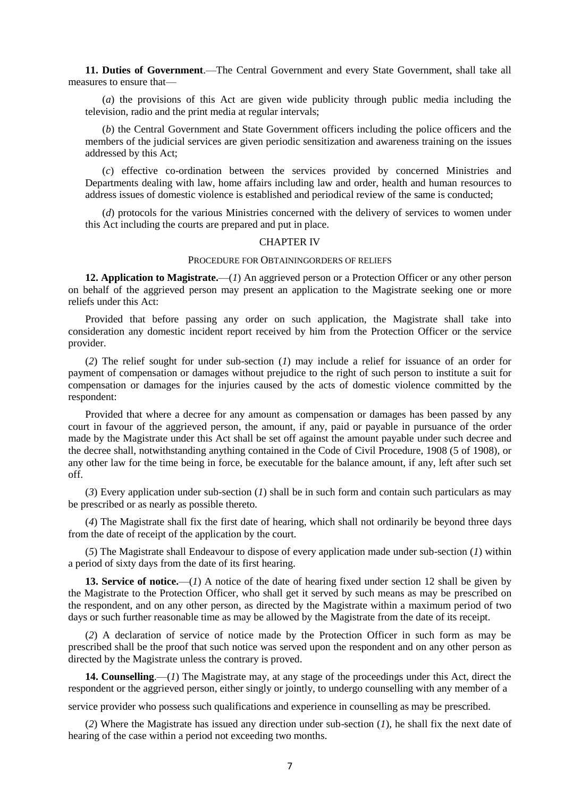**11. Duties of Government**.—The Central Government and every State Government, shall take all measures to ensure that—

(*a*) the provisions of this Act are given wide publicity through public media including the television, radio and the print media at regular intervals;

(*b*) the Central Government and State Government officers including the police officers and the members of the judicial services are given periodic sensitization and awareness training on the issues addressed by this Act;

(*c*) effective co-ordination between the services provided by concerned Ministries and Departments dealing with law, home affairs including law and order, health and human resources to address issues of domestic violence is established and periodical review of the same is conducted;

(*d*) protocols for the various Ministries concerned with the delivery of services to women under this Act including the courts are prepared and put in place.

### CHAPTER IV

#### PROCEDURE FOR OBTAININGORDERS OF RELIEFS

**12. Application to Magistrate.**—(*1*) An aggrieved person or a Protection Officer or any other person on behalf of the aggrieved person may present an application to the Magistrate seeking one or more reliefs under this Act:

Provided that before passing any order on such application, the Magistrate shall take into consideration any domestic incident report received by him from the Protection Officer or the service provider.

(*2*) The relief sought for under sub-section (*1*) may include a relief for issuance of an order for payment of compensation or damages without prejudice to the right of such person to institute a suit for compensation or damages for the injuries caused by the acts of domestic violence committed by the respondent:

Provided that where a decree for any amount as compensation or damages has been passed by any court in favour of the aggrieved person, the amount, if any, paid or payable in pursuance of the order made by the Magistrate under this Act shall be set off against the amount payable under such decree and the decree shall, notwithstanding anything contained in the Code of Civil Procedure, 1908 (5 of 1908), or any other law for the time being in force, be executable for the balance amount, if any, left after such set off.

(*3*) Every application under sub-section (*1*) shall be in such form and contain such particulars as may be prescribed or as nearly as possible thereto.

(*4*) The Magistrate shall fix the first date of hearing, which shall not ordinarily be beyond three days from the date of receipt of the application by the court.

(*5*) The Magistrate shall Endeavour to dispose of every application made under sub-section (*1*) within a period of sixty days from the date of its first hearing.

**13. Service of notice.**—(*1*) A notice of the date of hearing fixed under section 12 shall be given by the Magistrate to the Protection Officer, who shall get it served by such means as may be prescribed on the respondent, and on any other person, as directed by the Magistrate within a maximum period of two days or such further reasonable time as may be allowed by the Magistrate from the date of its receipt.

(*2*) A declaration of service of notice made by the Protection Officer in such form as may be prescribed shall be the proof that such notice was served upon the respondent and on any other person as directed by the Magistrate unless the contrary is proved.

**14. Counselling**.—(*1*) The Magistrate may, at any stage of the proceedings under this Act, direct the respondent or the aggrieved person, either singly or jointly, to undergo counselling with any member of a

service provider who possess such qualifications and experience in counselling as may be prescribed.

(*2*) Where the Magistrate has issued any direction under sub-section (*1*), he shall fix the next date of hearing of the case within a period not exceeding two months.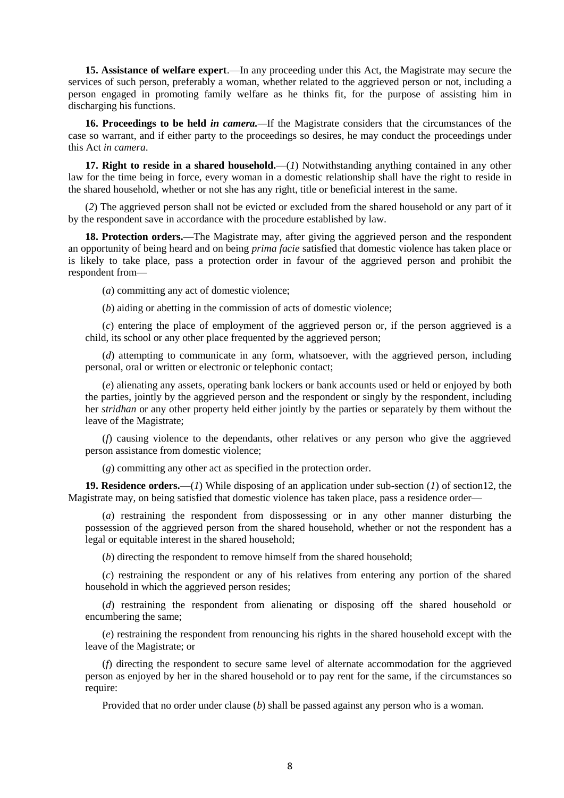**15. Assistance of welfare expert**.—In any proceeding under this Act, the Magistrate may secure the services of such person, preferably a woman, whether related to the aggrieved person or not, including a person engaged in promoting family welfare as he thinks fit, for the purpose of assisting him in discharging his functions.

**16. Proceedings to be held** *in camera.—*If the Magistrate considers that the circumstances of the case so warrant, and if either party to the proceedings so desires, he may conduct the proceedings under this Act *in camera*.

**17. Right to reside in a shared household.**—(*1*) Notwithstanding anything contained in any other law for the time being in force, every woman in a domestic relationship shall have the right to reside in the shared household, whether or not she has any right, title or beneficial interest in the same.

(*2*) The aggrieved person shall not be evicted or excluded from the shared household or any part of it by the respondent save in accordance with the procedure established by law.

**18. Protection orders.**—The Magistrate may, after giving the aggrieved person and the respondent an opportunity of being heard and on being *prima facie* satisfied that domestic violence has taken place or is likely to take place, pass a protection order in favour of the aggrieved person and prohibit the respondent from—

(*a*) committing any act of domestic violence;

(*b*) aiding or abetting in the commission of acts of domestic violence;

(*c*) entering the place of employment of the aggrieved person or, if the person aggrieved is a child, its school or any other place frequented by the aggrieved person;

(*d*) attempting to communicate in any form, whatsoever, with the aggrieved person, including personal, oral or written or electronic or telephonic contact;

(*e*) alienating any assets, operating bank lockers or bank accounts used or held or enjoyed by both the parties, jointly by the aggrieved person and the respondent or singly by the respondent, including her *stridhan* or any other property held either jointly by the parties or separately by them without the leave of the Magistrate;

(*f*) causing violence to the dependants, other relatives or any person who give the aggrieved person assistance from domestic violence;

(*g*) committing any other act as specified in the protection order.

**19. Residence orders.**—(*1*) While disposing of an application under sub-section (*1*) of section12, the Magistrate may, on being satisfied that domestic violence has taken place, pass a residence order—

(*a*) restraining the respondent from dispossessing or in any other manner disturbing the possession of the aggrieved person from the shared household, whether or not the respondent has a legal or equitable interest in the shared household;

(*b*) directing the respondent to remove himself from the shared household;

(*c*) restraining the respondent or any of his relatives from entering any portion of the shared household in which the aggrieved person resides;

(*d*) restraining the respondent from alienating or disposing off the shared household or encumbering the same;

(*e*) restraining the respondent from renouncing his rights in the shared household except with the leave of the Magistrate; or

(*f*) directing the respondent to secure same level of alternate accommodation for the aggrieved person as enjoyed by her in the shared household or to pay rent for the same, if the circumstances so require:

Provided that no order under clause (*b*) shall be passed against any person who is a woman.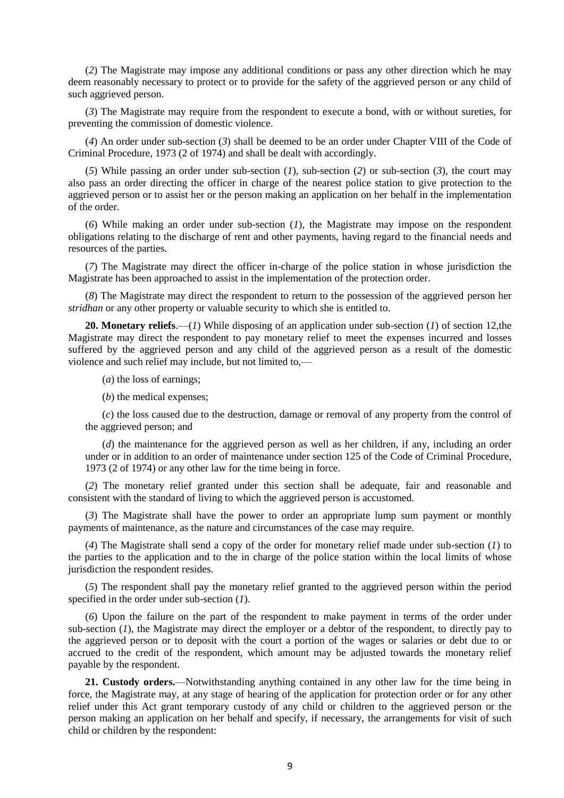(*2*) The Magistrate may impose any additional conditions or pass any other direction which he may deem reasonably necessary to protect or to provide for the safety of the aggrieved person or any child of such aggrieved person.

(*3*) The Magistrate may require from the respondent to execute a bond, with or without sureties, for preventing the commission of domestic violence.

(*4*) An order under sub-section (*3*) shall be deemed to be an order under Chapter VIII of the Code of Criminal Procedure, 1973 (2 of 1974) and shall be dealt with accordingly.

(*5*) While passing an order under sub-section (*1*), sub-section (*2*) or sub-section (*3*), the court may also pass an order directing the officer in charge of the nearest police station to give protection to the aggrieved person or to assist her or the person making an application on her behalf in the implementation of the order.

(*6*) While making an order under sub-section (*1*), the Magistrate may impose on the respondent obligations relating to the discharge of rent and other payments, having regard to the financial needs and resources of the parties.

(*7*) The Magistrate may direct the officer in-charge of the police station in whose jurisdiction the Magistrate has been approached to assist in the implementation of the protection order.

(*8*) The Magistrate may direct the respondent to return to the possession of the aggrieved person her *stridhan* or any other property or valuable security to which she is entitled to.

**20. Monetary reliefs**.—(*1*) While disposing of an application under sub-section (*1*) of section 12,the Magistrate may direct the respondent to pay monetary relief to meet the expenses incurred and losses suffered by the aggrieved person and any child of the aggrieved person as a result of the domestic violence and such relief may include, but not limited to,—

(*a*) the loss of earnings;

(*b*) the medical expenses;

(*c*) the loss caused due to the destruction, damage or removal of any property from the control of the aggrieved person; and

(*d*) the maintenance for the aggrieved person as well as her children, if any, including an order under or in addition to an order of maintenance under section 125 of the Code of Criminal Procedure, 1973 (2 of 1974) or any other law for the time being in force.

(*2*) The monetary relief granted under this section shall be adequate, fair and reasonable and consistent with the standard of living to which the aggrieved person is accustomed.

(*3*) The Magistrate shall have the power to order an appropriate lump sum payment or monthly payments of maintenance, as the nature and circumstances of the case may require.

(*4*) The Magistrate shall send a copy of the order for monetary relief made under sub-section (*1*) to the parties to the application and to the in charge of the police station within the local limits of whose jurisdiction the respondent resides.

(*5*) The respondent shall pay the monetary relief granted to the aggrieved person within the period specified in the order under sub-section (*1*).

(*6*) Upon the failure on the part of the respondent to make payment in terms of the order under sub-section (*1*), the Magistrate may direct the employer or a debtor of the respondent, to directly pay to the aggrieved person or to deposit with the court a portion of the wages or salaries or debt due to or accrued to the credit of the respondent, which amount may be adjusted towards the monetary relief payable by the respondent.

**21. Custody orders.**—Notwithstanding anything contained in any other law for the time being in force, the Magistrate may, at any stage of hearing of the application for protection order or for any other relief under this Act grant temporary custody of any child or children to the aggrieved person or the person making an application on her behalf and specify, if necessary, the arrangements for visit of such child or children by the respondent: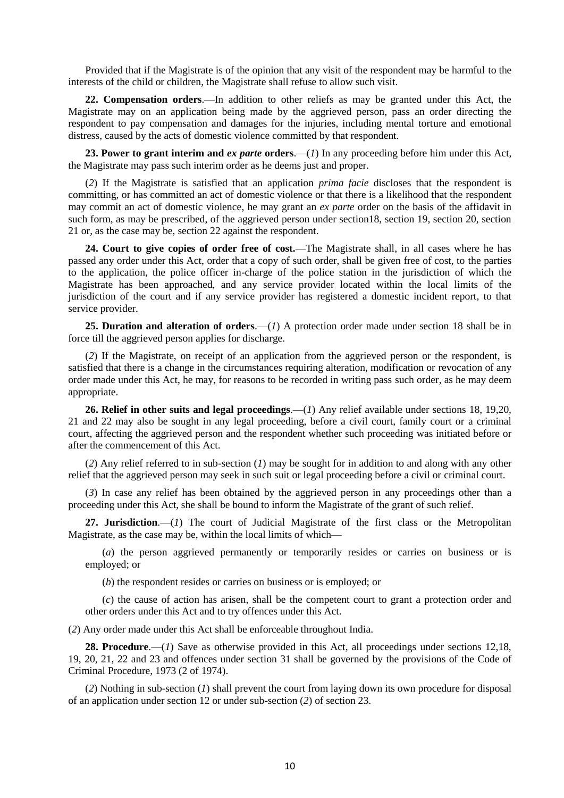Provided that if the Magistrate is of the opinion that any visit of the respondent may be harmful to the interests of the child or children, the Magistrate shall refuse to allow such visit.

**22. Compensation orders**.—In addition to other reliefs as may be granted under this Act, the Magistrate may on an application being made by the aggrieved person, pass an order directing the respondent to pay compensation and damages for the injuries, including mental torture and emotional distress, caused by the acts of domestic violence committed by that respondent.

**23. Power to grant interim and** *ex parte* **orders**.—(*1*) In any proceeding before him under this Act, the Magistrate may pass such interim order as he deems just and proper.

(*2*) If the Magistrate is satisfied that an application *prima facie* discloses that the respondent is committing, or has committed an act of domestic violence or that there is a likelihood that the respondent may commit an act of domestic violence, he may grant an *ex parte* order on the basis of the affidavit in such form, as may be prescribed, of the aggrieved person under section18, section 19, section 20, section 21 or, as the case may be, section 22 against the respondent.

**24. Court to give copies of order free of cost.**—The Magistrate shall, in all cases where he has passed any order under this Act, order that a copy of such order, shall be given free of cost, to the parties to the application, the police officer in-charge of the police station in the jurisdiction of which the Magistrate has been approached, and any service provider located within the local limits of the jurisdiction of the court and if any service provider has registered a domestic incident report, to that service provider.

**25. Duration and alteration of orders**.—(*1*) A protection order made under section 18 shall be in force till the aggrieved person applies for discharge.

(*2*) If the Magistrate, on receipt of an application from the aggrieved person or the respondent, is satisfied that there is a change in the circumstances requiring alteration, modification or revocation of any order made under this Act, he may, for reasons to be recorded in writing pass such order, as he may deem appropriate.

**26. Relief in other suits and legal proceedings**.—(*1*) Any relief available under sections 18, 19,20, 21 and 22 may also be sought in any legal proceeding, before a civil court, family court or a criminal court, affecting the aggrieved person and the respondent whether such proceeding was initiated before or after the commencement of this Act.

(*2*) Any relief referred to in sub-section (*1*) may be sought for in addition to and along with any other relief that the aggrieved person may seek in such suit or legal proceeding before a civil or criminal court.

(*3*) In case any relief has been obtained by the aggrieved person in any proceedings other than a proceeding under this Act, she shall be bound to inform the Magistrate of the grant of such relief.

**27. Jurisdiction**.—(*1*) The court of Judicial Magistrate of the first class or the Metropolitan Magistrate, as the case may be, within the local limits of which—

(*a*) the person aggrieved permanently or temporarily resides or carries on business or is employed; or

(*b*) the respondent resides or carries on business or is employed; or

(*c*) the cause of action has arisen, shall be the competent court to grant a protection order and other orders under this Act and to try offences under this Act.

(*2*) Any order made under this Act shall be enforceable throughout India.

**28. Procedure**.—(*1*) Save as otherwise provided in this Act, all proceedings under sections 12,18, 19, 20, 21, 22 and 23 and offences under section 31 shall be governed by the provisions of the Code of Criminal Procedure, 1973 (2 of 1974).

(*2*) Nothing in sub-section (*1*) shall prevent the court from laying down its own procedure for disposal of an application under section 12 or under sub-section (*2*) of section 23.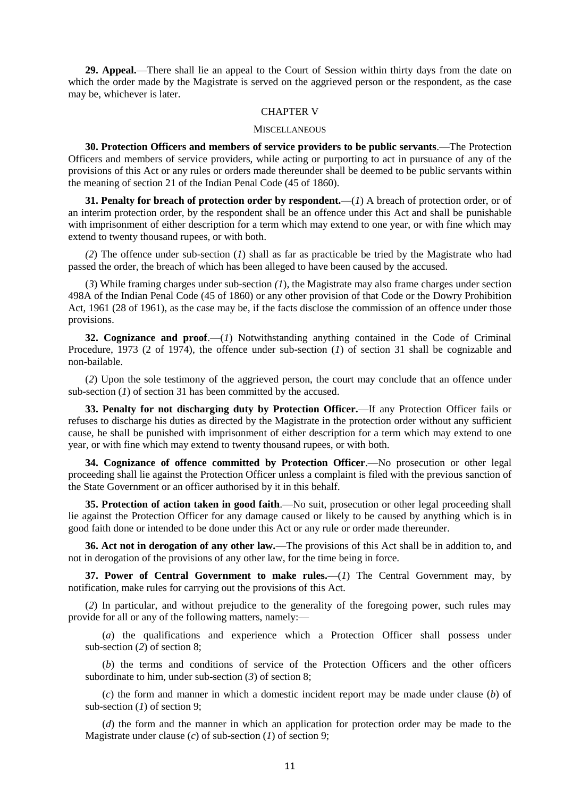**29. Appeal.**—There shall lie an appeal to the Court of Session within thirty days from the date on which the order made by the Magistrate is served on the aggrieved person or the respondent, as the case may be, whichever is later.

#### CHAPTER V

#### **MISCELLANEOUS**

**30. Protection Officers and members of service providers to be public servants**.—The Protection Officers and members of service providers, while acting or purporting to act in pursuance of any of the provisions of this Act or any rules or orders made thereunder shall be deemed to be public servants within the meaning of section 21 of the Indian Penal Code (45 of 1860).

**31. Penalty for breach of protection order by respondent.**—(*1*) A breach of protection order, or of an interim protection order, by the respondent shall be an offence under this Act and shall be punishable with imprisonment of either description for a term which may extend to one year, or with fine which may extend to twenty thousand rupees, or with both.

*(2*) The offence under sub-section (*1*) shall as far as practicable be tried by the Magistrate who had passed the order, the breach of which has been alleged to have been caused by the accused.

(*3*) While framing charges under sub-section *(1*), the Magistrate may also frame charges under section 498A of the Indian Penal Code (45 of 1860) or any other provision of that Code or the Dowry Prohibition Act, 1961 (28 of 1961), as the case may be, if the facts disclose the commission of an offence under those provisions.

**32. Cognizance and proof**.—(*1*) Notwithstanding anything contained in the Code of Criminal Procedure, 1973 (2 of 1974), the offence under sub-section (*1*) of section 31 shall be cognizable and non-bailable.

(*2*) Upon the sole testimony of the aggrieved person, the court may conclude that an offence under sub-section (*1*) of section 31 has been committed by the accused.

**33. Penalty for not discharging duty by Protection Officer.**—If any Protection Officer fails or refuses to discharge his duties as directed by the Magistrate in the protection order without any sufficient cause, he shall be punished with imprisonment of either description for a term which may extend to one year, or with fine which may extend to twenty thousand rupees, or with both.

**34. Cognizance of offence committed by Protection Officer**.—No prosecution or other legal proceeding shall lie against the Protection Officer unless a complaint is filed with the previous sanction of the State Government or an officer authorised by it in this behalf.

**35. Protection of action taken in good faith**.—No suit, prosecution or other legal proceeding shall lie against the Protection Officer for any damage caused or likely to be caused by anything which is in good faith done or intended to be done under this Act or any rule or order made thereunder.

**36. Act not in derogation of any other law.**—The provisions of this Act shall be in addition to, and not in derogation of the provisions of any other law, for the time being in force.

**37. Power of Central Government to make rules.**—(*1*) The Central Government may, by notification, make rules for carrying out the provisions of this Act.

(*2*) In particular, and without prejudice to the generality of the foregoing power, such rules may provide for all or any of the following matters, namely:—

(*a*) the qualifications and experience which a Protection Officer shall possess under sub-section (*2*) of section 8;

(*b*) the terms and conditions of service of the Protection Officers and the other officers subordinate to him, under sub-section (*3*) of section 8;

(*c*) the form and manner in which a domestic incident report may be made under clause (*b*) of sub-section (*1*) of section 9;

(*d*) the form and the manner in which an application for protection order may be made to the Magistrate under clause (*c*) of sub-section (*1*) of section 9;